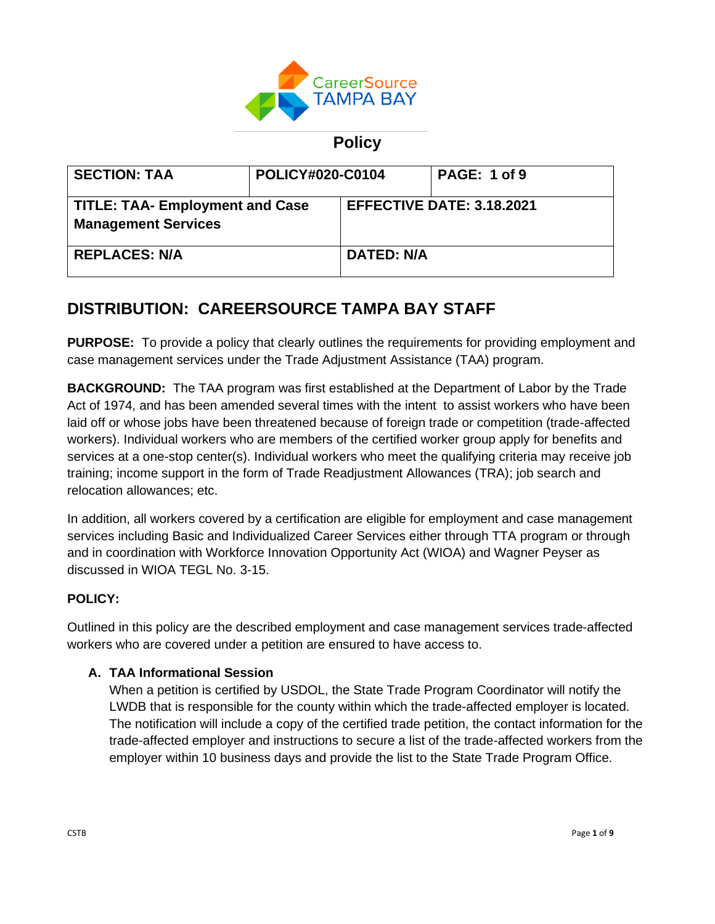

# **Policy**

| <b>SECTION: TAA</b>                                                  | POLICY#020-C0104 |                   | <b>PAGE: 1 of 9</b>              |
|----------------------------------------------------------------------|------------------|-------------------|----------------------------------|
| <b>TITLE: TAA- Employment and Case</b><br><b>Management Services</b> |                  |                   | <b>EFFECTIVE DATE: 3.18.2021</b> |
| <b>REPLACES: N/A</b>                                                 |                  | <b>DATED: N/A</b> |                                  |

# **DISTRIBUTION: CAREERSOURCE TAMPA BAY STAFF**

**PURPOSE:** To provide a policy that clearly outlines the requirements for providing employment and case management services under the Trade Adjustment Assistance (TAA) program.

**BACKGROUND:** The TAA program was first established at the Department of Labor by the Trade Act of 1974, and has been amended several times with the intent to assist workers who have been laid off or whose jobs have been threatened because of foreign trade or competition (trade-affected workers). Individual workers who are members of the certified worker group apply for benefits and services at a one-stop center(s). Individual workers who meet the qualifying criteria may receive job training; income support in the form of Trade Readjustment Allowances (TRA); job search and relocation allowances; etc.

In addition, all workers covered by a certification are eligible for employment and case management services including Basic and Individualized Career Services either through TTA program or through and in coordination with Workforce Innovation Opportunity Act (WIOA) and Wagner Peyser as discussed in WIOA TEGL No. 3-15.

# **POLICY:**

Outlined in this policy are the described employment and case management services trade-affected workers who are covered under a petition are ensured to have access to.

# **A. TAA Informational Session**

When a petition is certified by USDOL, the State Trade Program Coordinator will notify the LWDB that is responsible for the county within which the trade-affected employer is located. The notification will include a copy of the certified trade petition, the contact information for the trade-affected employer and instructions to secure a list of the trade-affected workers from the employer within 10 business days and provide the list to the State Trade Program Office.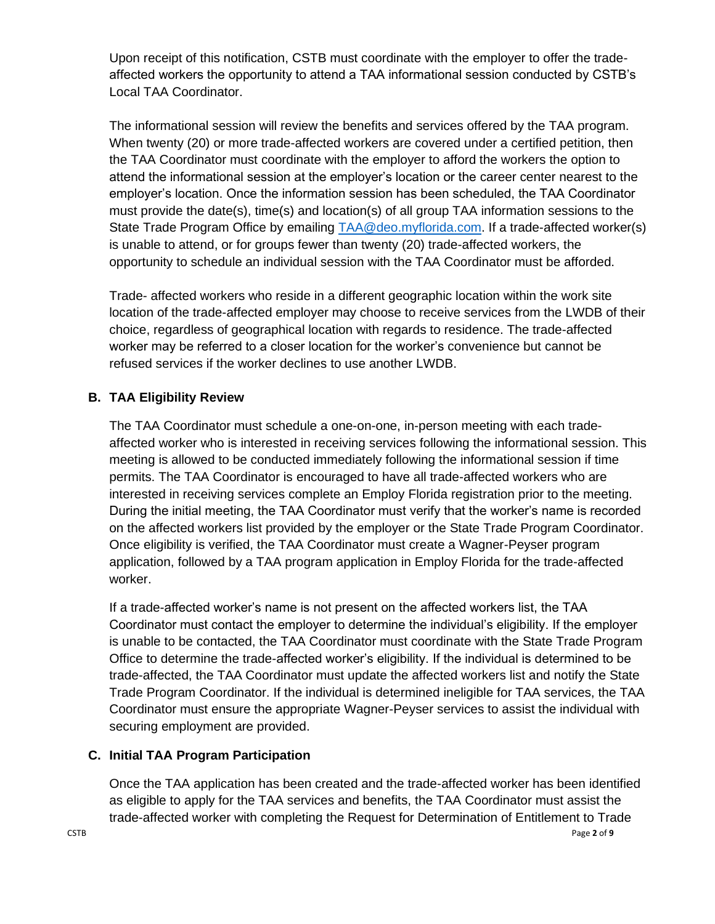Upon receipt of this notification, CSTB must coordinate with the employer to offer the tradeaffected workers the opportunity to attend a TAA informational session conducted by CSTB's Local TAA Coordinator.

The informational session will review the benefits and services offered by the TAA program. When twenty (20) or more trade-affected workers are covered under a certified petition, then the TAA Coordinator must coordinate with the employer to afford the workers the option to attend the informational session at the employer's location or the career center nearest to the employer's location. Once the information session has been scheduled, the TAA Coordinator must provide the date(s), time(s) and location(s) of all group TAA information sessions to the State Trade Program Office by emailing [TAA@deo.myflorida.com.](mailto:TAA@deo.myflorida.com) If a trade-affected worker(s) is unable to attend, or for groups fewer than twenty (20) trade-affected workers, the opportunity to schedule an individual session with the TAA Coordinator must be afforded.

Trade- affected workers who reside in a different geographic location within the work site location of the trade-affected employer may choose to receive services from the LWDB of their choice, regardless of geographical location with regards to residence. The trade-affected worker may be referred to a closer location for the worker's convenience but cannot be refused services if the worker declines to use another LWDB.

#### **B. TAA Eligibility Review**

The TAA Coordinator must schedule a one-on-one, in-person meeting with each tradeaffected worker who is interested in receiving services following the informational session. This meeting is allowed to be conducted immediately following the informational session if time permits. The TAA Coordinator is encouraged to have all trade-affected workers who are interested in receiving services complete an Employ Florida registration prior to the meeting. During the initial meeting, the TAA Coordinator must verify that the worker's name is recorded on the affected workers list provided by the employer or the State Trade Program Coordinator. Once eligibility is verified, the TAA Coordinator must create a Wagner-Peyser program application, followed by a TAA program application in Employ Florida for the trade-affected worker.

If a trade-affected worker's name is not present on the affected workers list, the TAA Coordinator must contact the employer to determine the individual's eligibility. If the employer is unable to be contacted, the TAA Coordinator must coordinate with the State Trade Program Office to determine the trade-affected worker's eligibility. If the individual is determined to be trade-affected, the TAA Coordinator must update the affected workers list and notify the State Trade Program Coordinator. If the individual is determined ineligible for TAA services, the TAA Coordinator must ensure the appropriate Wagner-Peyser services to assist the individual with securing employment are provided.

#### **C. Initial TAA Program Participation**

Once the TAA application has been created and the trade-affected worker has been identified as eligible to apply for the TAA services and benefits, the TAA Coordinator must assist the trade-affected worker with completing the Request for Determination of Entitlement to Trade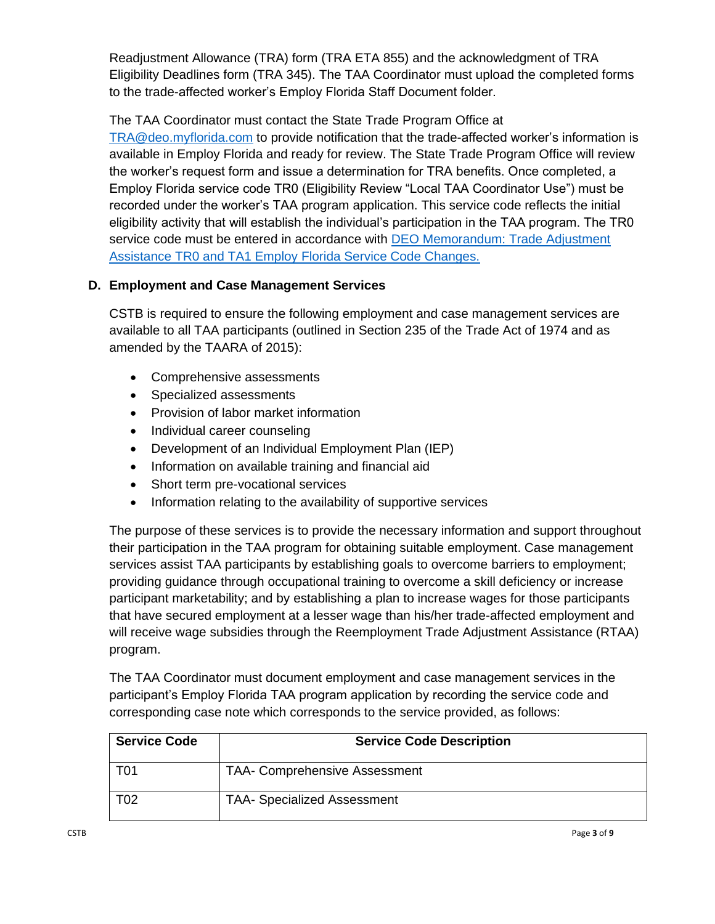Readjustment Allowance (TRA) form (TRA ETA 855) and the acknowledgment of TRA Eligibility Deadlines form (TRA 345). The TAA Coordinator must upload the completed forms to the trade-affected worker's Employ Florida Staff Document folder.

The TAA Coordinator must contact the State Trade Program Office at

[TRA@deo.myflorida.com](mailto:TRA@deo.myflorida.com) to provide notification that the trade-affected worker's information is available in Employ Florida and ready for review. The State Trade Program Office will review the worker's request form and issue a determination for TRA benefits. Once completed, a Employ Florida service code TR0 (Eligibility Review "Local TAA Coordinator Use") must be recorded under the worker's TAA program application. This service code reflects the initial eligibility activity that will establish the individual's participation in the TAA program. The TR0 service code must be entered in accordance with [DEO Memorandum: Trade Adjustment](http://floridajobs.org/docs/default-source/lwdb-resources/policy-and-guidance/memos/2019-memoranda/memo_taa-ta1andtr0-employflsvccodechanges.pdf?sfvrsn=6)  [Assistance TR0 and TA1 Employ Florida Service Code Changes.](http://floridajobs.org/docs/default-source/lwdb-resources/policy-and-guidance/memos/2019-memoranda/memo_taa-ta1andtr0-employflsvccodechanges.pdf?sfvrsn=6)

# **D. Employment and Case Management Services**

CSTB is required to ensure the following employment and case management services are available to all TAA participants (outlined in Section 235 of the Trade Act of 1974 and as amended by the TAARA of 2015):

- Comprehensive assessments
- Specialized assessments
- Provision of labor market information
- Individual career counseling
- Development of an Individual Employment Plan (IEP)
- Information on available training and financial aid
- Short term pre-vocational services
- Information relating to the availability of supportive services

The purpose of these services is to provide the necessary information and support throughout their participation in the TAA program for obtaining suitable employment. Case management services assist TAA participants by establishing goals to overcome barriers to employment; providing guidance through occupational training to overcome a skill deficiency or increase participant marketability; and by establishing a plan to increase wages for those participants that have secured employment at a lesser wage than his/her trade-affected employment and will receive wage subsidies through the Reemployment Trade Adjustment Assistance (RTAA) program.

The TAA Coordinator must document employment and case management services in the participant's Employ Florida TAA program application by recording the service code and corresponding case note which corresponds to the service provided, as follows:

| <b>Service Code</b> | <b>Service Code Description</b>      |
|---------------------|--------------------------------------|
| T01                 | <b>TAA- Comprehensive Assessment</b> |
| T02                 | <b>TAA- Specialized Assessment</b>   |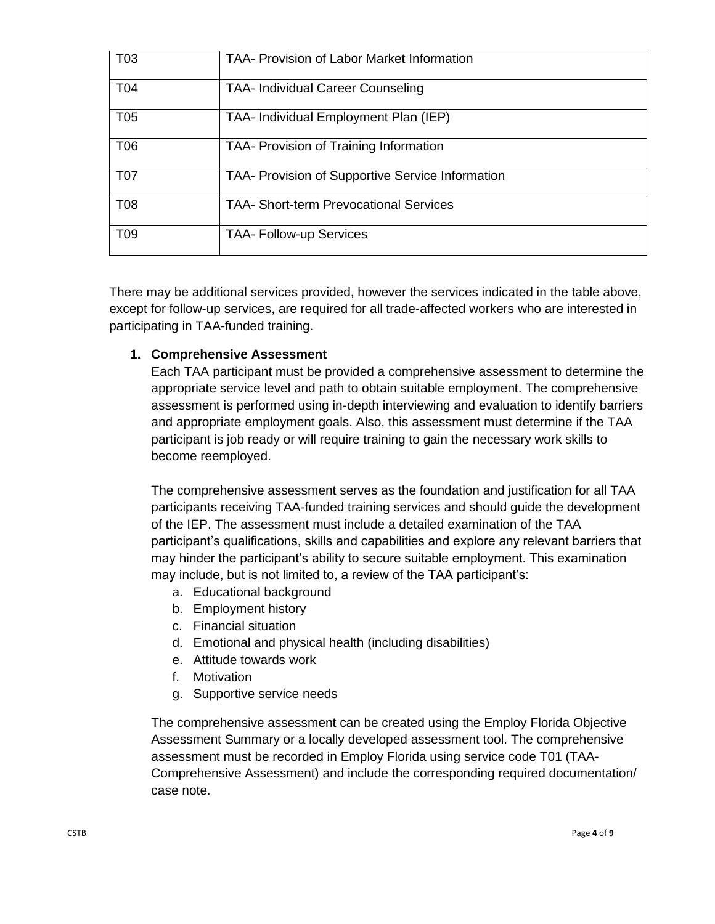| T <sub>03</sub> | <b>TAA- Provision of Labor Market Information</b> |
|-----------------|---------------------------------------------------|
| <b>T04</b>      | <b>TAA- Individual Career Counseling</b>          |
| T <sub>05</sub> | TAA- Individual Employment Plan (IEP)             |
| T <sub>06</sub> | TAA- Provision of Training Information            |
| <b>T07</b>      | TAA- Provision of Supportive Service Information  |
| <b>T08</b>      | <b>TAA- Short-term Prevocational Services</b>     |
| T <sub>09</sub> | <b>TAA- Follow-up Services</b>                    |

There may be additional services provided, however the services indicated in the table above, except for follow-up services, are required for all trade-affected workers who are interested in participating in TAA-funded training.

# **1. Comprehensive Assessment**

Each TAA participant must be provided a comprehensive assessment to determine the appropriate service level and path to obtain suitable employment. The comprehensive assessment is performed using in-depth interviewing and evaluation to identify barriers and appropriate employment goals. Also, this assessment must determine if the TAA participant is job ready or will require training to gain the necessary work skills to become reemployed.

The comprehensive assessment serves as the foundation and justification for all TAA participants receiving TAA-funded training services and should guide the development of the IEP. The assessment must include a detailed examination of the TAA participant's qualifications, skills and capabilities and explore any relevant barriers that may hinder the participant's ability to secure suitable employment. This examination may include, but is not limited to, a review of the TAA participant's:

- a. Educational background
- b. Employment history
- c. Financial situation
- d. Emotional and physical health (including disabilities)
- e. Attitude towards work
- f. Motivation
- g. Supportive service needs

The comprehensive assessment can be created using the Employ Florida Objective Assessment Summary or a locally developed assessment tool. The comprehensive assessment must be recorded in Employ Florida using service code T01 (TAA-Comprehensive Assessment) and include the corresponding required documentation/ case note.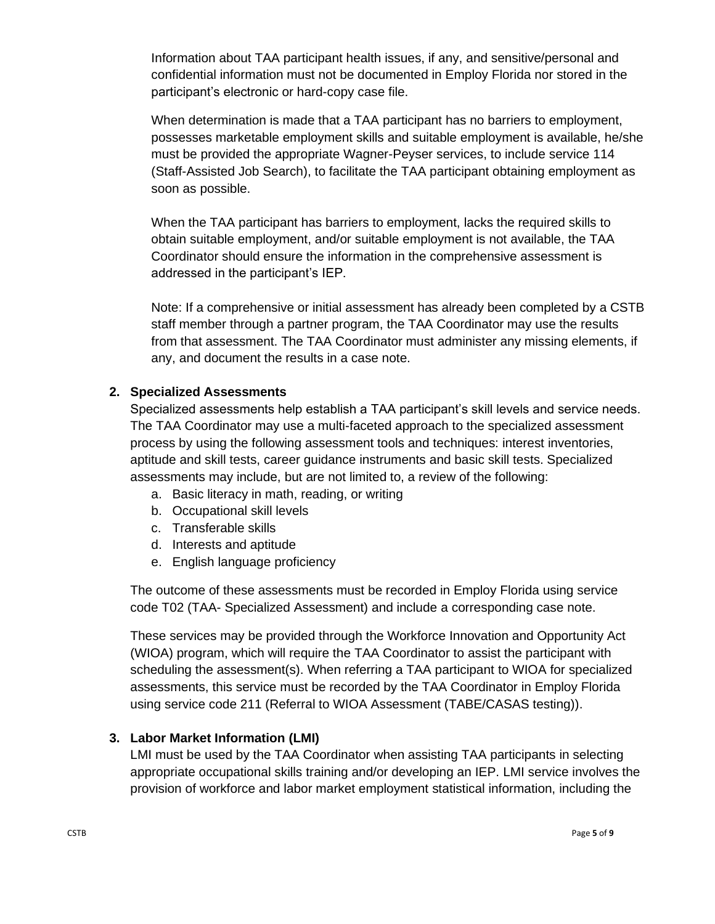Information about TAA participant health issues, if any, and sensitive/personal and confidential information must not be documented in Employ Florida nor stored in the participant's electronic or hard-copy case file.

When determination is made that a TAA participant has no barriers to employment, possesses marketable employment skills and suitable employment is available, he/she must be provided the appropriate Wagner-Peyser services, to include service 114 (Staff-Assisted Job Search), to facilitate the TAA participant obtaining employment as soon as possible.

When the TAA participant has barriers to employment, lacks the required skills to obtain suitable employment, and/or suitable employment is not available, the TAA Coordinator should ensure the information in the comprehensive assessment is addressed in the participant's IEP.

Note: If a comprehensive or initial assessment has already been completed by a CSTB staff member through a partner program, the TAA Coordinator may use the results from that assessment. The TAA Coordinator must administer any missing elements, if any, and document the results in a case note.

#### **2. Specialized Assessments**

Specialized assessments help establish a TAA participant's skill levels and service needs. The TAA Coordinator may use a multi-faceted approach to the specialized assessment process by using the following assessment tools and techniques: interest inventories, aptitude and skill tests, career guidance instruments and basic skill tests. Specialized assessments may include, but are not limited to, a review of the following:

- a. Basic literacy in math, reading, or writing
- b. Occupational skill levels
- c. Transferable skills
- d. Interests and aptitude
- e. English language proficiency

The outcome of these assessments must be recorded in Employ Florida using service code T02 (TAA- Specialized Assessment) and include a corresponding case note.

These services may be provided through the Workforce Innovation and Opportunity Act (WIOA) program, which will require the TAA Coordinator to assist the participant with scheduling the assessment(s). When referring a TAA participant to WIOA for specialized assessments, this service must be recorded by the TAA Coordinator in Employ Florida using service code 211 (Referral to WIOA Assessment (TABE/CASAS testing)).

# **3. Labor Market Information (LMI)**

LMI must be used by the TAA Coordinator when assisting TAA participants in selecting appropriate occupational skills training and/or developing an IEP. LMI service involves the provision of workforce and labor market employment statistical information, including the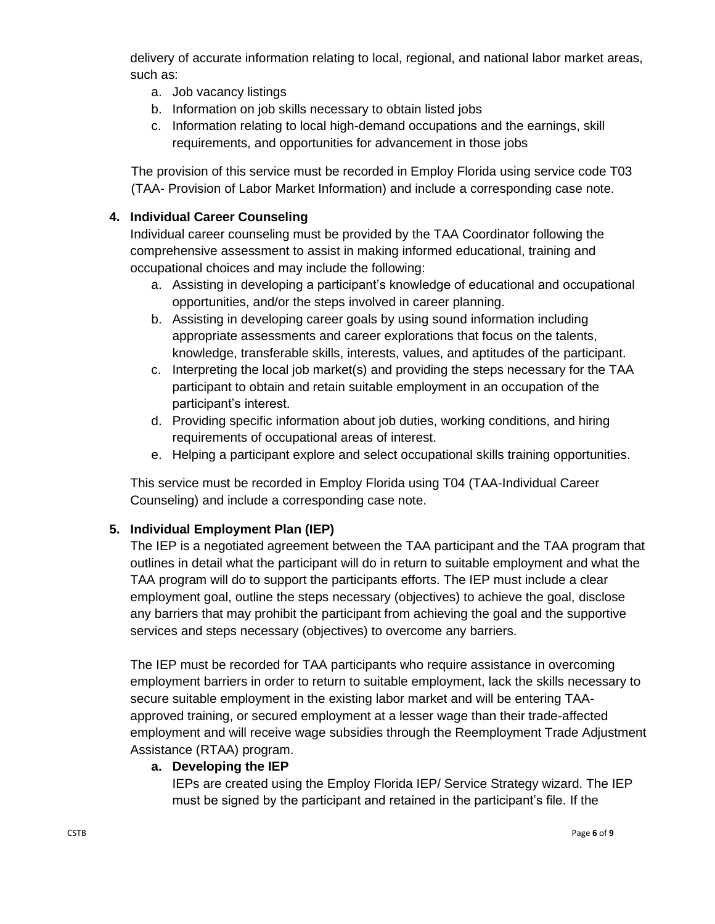delivery of accurate information relating to local, regional, and national labor market areas, such as:

- a. Job vacancy listings
- b. Information on job skills necessary to obtain listed jobs
- c. Information relating to local high-demand occupations and the earnings, skill requirements, and opportunities for advancement in those jobs

The provision of this service must be recorded in Employ Florida using service code T03 (TAA- Provision of Labor Market Information) and include a corresponding case note.

# **4. Individual Career Counseling**

Individual career counseling must be provided by the TAA Coordinator following the comprehensive assessment to assist in making informed educational, training and occupational choices and may include the following:

- a. Assisting in developing a participant's knowledge of educational and occupational opportunities, and/or the steps involved in career planning.
- b. Assisting in developing career goals by using sound information including appropriate assessments and career explorations that focus on the talents, knowledge, transferable skills, interests, values, and aptitudes of the participant.
- c. Interpreting the local job market(s) and providing the steps necessary for the TAA participant to obtain and retain suitable employment in an occupation of the participant's interest.
- d. Providing specific information about job duties, working conditions, and hiring requirements of occupational areas of interest.
- e. Helping a participant explore and select occupational skills training opportunities.

This service must be recorded in Employ Florida using T04 (TAA-Individual Career Counseling) and include a corresponding case note.

# **5. Individual Employment Plan (IEP)**

The IEP is a negotiated agreement between the TAA participant and the TAA program that outlines in detail what the participant will do in return to suitable employment and what the TAA program will do to support the participants efforts. The IEP must include a clear employment goal, outline the steps necessary (objectives) to achieve the goal, disclose any barriers that may prohibit the participant from achieving the goal and the supportive services and steps necessary (objectives) to overcome any barriers.

The IEP must be recorded for TAA participants who require assistance in overcoming employment barriers in order to return to suitable employment, lack the skills necessary to secure suitable employment in the existing labor market and will be entering TAAapproved training, or secured employment at a lesser wage than their trade-affected employment and will receive wage subsidies through the Reemployment Trade Adjustment Assistance (RTAA) program.

#### **a. Developing the IEP**

IEPs are created using the Employ Florida IEP/ Service Strategy wizard. The IEP must be signed by the participant and retained in the participant's file. If the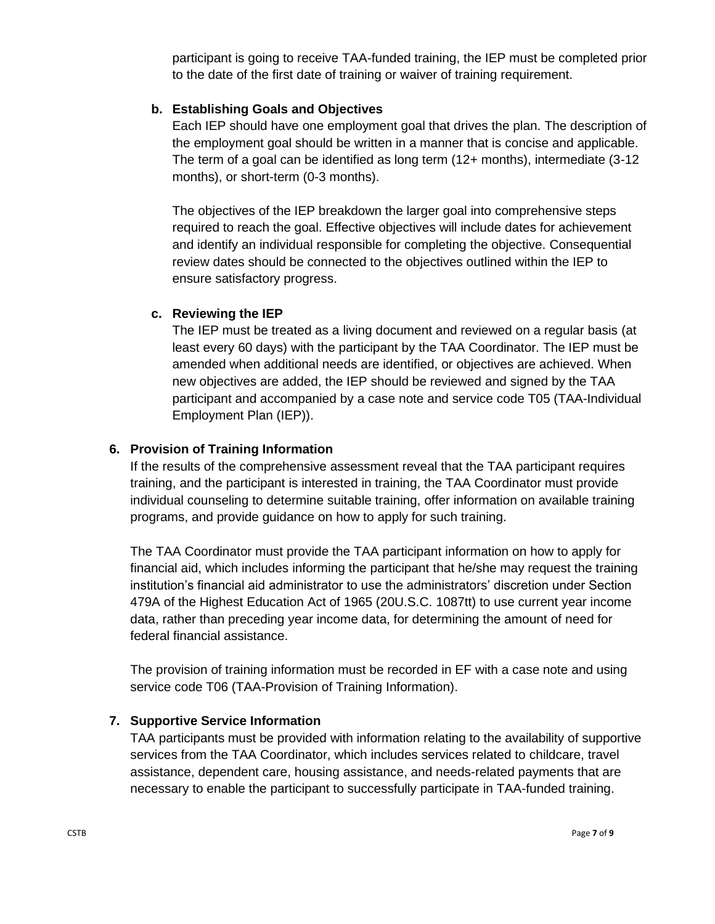participant is going to receive TAA-funded training, the IEP must be completed prior to the date of the first date of training or waiver of training requirement.

#### **b. Establishing Goals and Objectives**

Each IEP should have one employment goal that drives the plan. The description of the employment goal should be written in a manner that is concise and applicable. The term of a goal can be identified as long term (12+ months), intermediate (3-12 months), or short-term (0-3 months).

The objectives of the IEP breakdown the larger goal into comprehensive steps required to reach the goal. Effective objectives will include dates for achievement and identify an individual responsible for completing the objective. Consequential review dates should be connected to the objectives outlined within the IEP to ensure satisfactory progress.

#### **c. Reviewing the IEP**

The IEP must be treated as a living document and reviewed on a regular basis (at least every 60 days) with the participant by the TAA Coordinator. The IEP must be amended when additional needs are identified, or objectives are achieved. When new objectives are added, the IEP should be reviewed and signed by the TAA participant and accompanied by a case note and service code T05 (TAA-Individual Employment Plan (IEP)).

#### **6. Provision of Training Information**

If the results of the comprehensive assessment reveal that the TAA participant requires training, and the participant is interested in training, the TAA Coordinator must provide individual counseling to determine suitable training, offer information on available training programs, and provide guidance on how to apply for such training.

The TAA Coordinator must provide the TAA participant information on how to apply for financial aid, which includes informing the participant that he/she may request the training institution's financial aid administrator to use the administrators' discretion under Section 479A of the Highest Education Act of 1965 (20U.S.C. 1087tt) to use current year income data, rather than preceding year income data, for determining the amount of need for federal financial assistance.

The provision of training information must be recorded in EF with a case note and using service code T06 (TAA-Provision of Training Information).

#### **7. Supportive Service Information**

TAA participants must be provided with information relating to the availability of supportive services from the TAA Coordinator, which includes services related to childcare, travel assistance, dependent care, housing assistance, and needs-related payments that are necessary to enable the participant to successfully participate in TAA-funded training.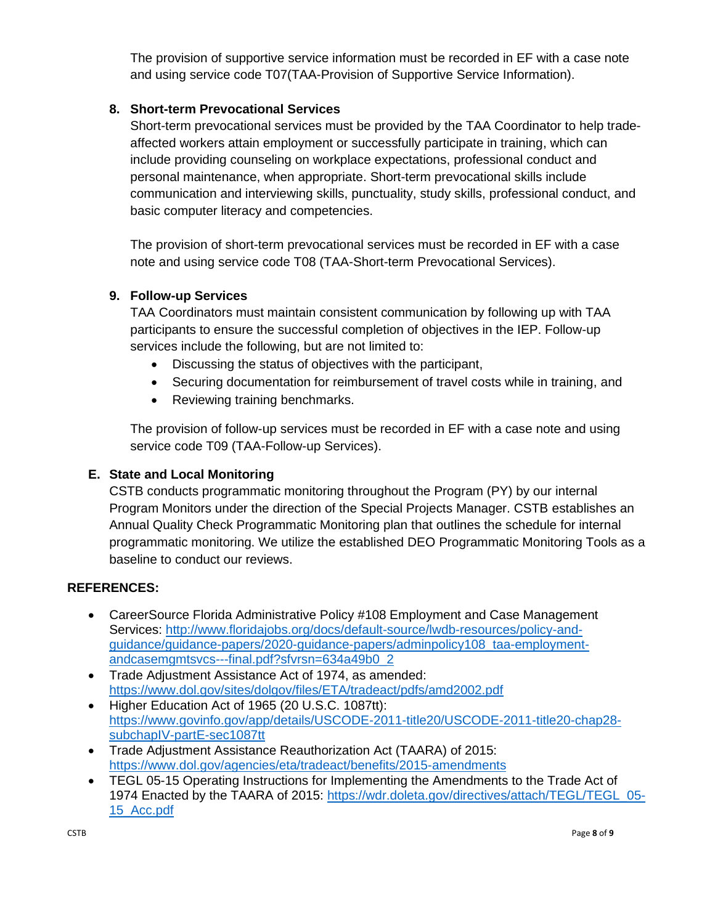The provision of supportive service information must be recorded in EF with a case note and using service code T07(TAA-Provision of Supportive Service Information).

#### **8. Short-term Prevocational Services**

Short-term prevocational services must be provided by the TAA Coordinator to help tradeaffected workers attain employment or successfully participate in training, which can include providing counseling on workplace expectations, professional conduct and personal maintenance, when appropriate. Short-term prevocational skills include communication and interviewing skills, punctuality, study skills, professional conduct, and basic computer literacy and competencies.

The provision of short-term prevocational services must be recorded in EF with a case note and using service code T08 (TAA-Short-term Prevocational Services).

#### **9. Follow-up Services**

TAA Coordinators must maintain consistent communication by following up with TAA participants to ensure the successful completion of objectives in the IEP. Follow-up services include the following, but are not limited to:

- Discussing the status of objectives with the participant,
- Securing documentation for reimbursement of travel costs while in training, and
- Reviewing training benchmarks.

The provision of follow-up services must be recorded in EF with a case note and using service code T09 (TAA-Follow-up Services).

# **E. State and Local Monitoring**

CSTB conducts programmatic monitoring throughout the Program (PY) by our internal Program Monitors under the direction of the Special Projects Manager. CSTB establishes an Annual Quality Check Programmatic Monitoring plan that outlines the schedule for internal programmatic monitoring. We utilize the established DEO Programmatic Monitoring Tools as a baseline to conduct our reviews.

#### **REFERENCES:**

- CareerSource Florida Administrative Policy #108 Employment and Case Management Services: [http://www.floridajobs.org/docs/default-source/lwdb-resources/policy-and](http://www.floridajobs.org/docs/default-source/lwdb-resources/policy-and-guidance/guidance-papers/2020-guidance-papers/adminpolicy108_taa-employment-andcasemgmtsvcs---final.pdf?sfvrsn=634a49b0_2)[guidance/guidance-papers/2020-guidance-papers/adminpolicy108\\_taa-employment](http://www.floridajobs.org/docs/default-source/lwdb-resources/policy-and-guidance/guidance-papers/2020-guidance-papers/adminpolicy108_taa-employment-andcasemgmtsvcs---final.pdf?sfvrsn=634a49b0_2)[andcasemgmtsvcs---final.pdf?sfvrsn=634a49b0\\_2](http://www.floridajobs.org/docs/default-source/lwdb-resources/policy-and-guidance/guidance-papers/2020-guidance-papers/adminpolicy108_taa-employment-andcasemgmtsvcs---final.pdf?sfvrsn=634a49b0_2)
- Trade Adjustment Assistance Act of 1974, as amended: <https://www.dol.gov/sites/dolgov/files/ETA/tradeact/pdfs/amd2002.pdf>
- Higher Education Act of 1965 (20 U.S.C. 1087tt): [https://www.govinfo.gov/app/details/USCODE-2011-title20/USCODE-2011-title20-chap28](https://www.govinfo.gov/app/details/USCODE-2011-title20/USCODE-2011-title20-chap28-subchapIV-partE-sec1087tt) [subchapIV-partE-sec1087tt](https://www.govinfo.gov/app/details/USCODE-2011-title20/USCODE-2011-title20-chap28-subchapIV-partE-sec1087tt)
- Trade Adjustment Assistance Reauthorization Act (TAARA) of 2015: <https://www.dol.gov/agencies/eta/tradeact/benefits/2015-amendments>
- TEGL 05-15 Operating Instructions for Implementing the Amendments to the Trade Act of 1974 Enacted by the TAARA of 2015: [https://wdr.doleta.gov/directives/attach/TEGL/TEGL\\_05-](https://wdr.doleta.gov/directives/attach/TEGL/TEGL_05-15_Acc.pdf) [15\\_Acc.pdf](https://wdr.doleta.gov/directives/attach/TEGL/TEGL_05-15_Acc.pdf)